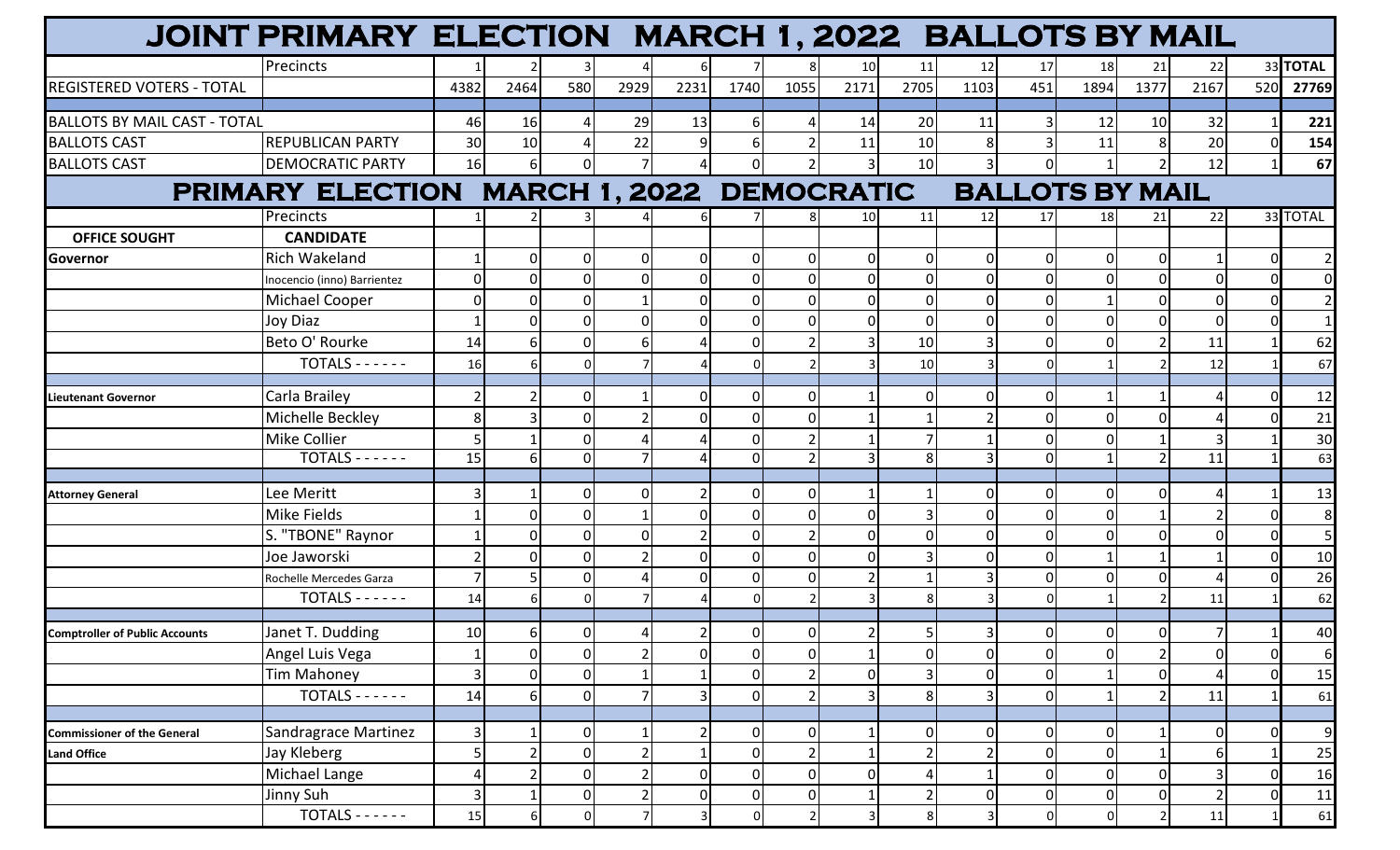|                                           | JOINT PRIMARY ELECTION MARCH 1, 2022 BALLOTS BY MAIL |                 |              |                |          |                |                  |                |      |          |          |                        |                |                          |                |          |                  |
|-------------------------------------------|------------------------------------------------------|-----------------|--------------|----------------|----------|----------------|------------------|----------------|------|----------|----------|------------------------|----------------|--------------------------|----------------|----------|------------------|
|                                           | Precincts                                            |                 |              |                |          | 6              |                  | 8 <sup>1</sup> | 10   | 11       | 12       | 17                     | 18             | 21                       | 22             |          | 33 TOTAL         |
| <b>REGISTERED VOTERS - TOTAL</b>          |                                                      | 4382            | 2464         | 580            | 2929     | 2231           | 1740             | 1055           | 2171 | 2705     | 1103     | 451                    | 1894           | 1377                     | 2167           | 520      | 27769            |
|                                           |                                                      |                 |              |                |          |                |                  |                |      |          |          |                        |                |                          |                |          |                  |
| <b>BALLOTS BY MAIL CAST - TOTAL</b>       |                                                      | 46              | 16           |                | 29       | 13             | 6                | Δ              | 14   | 20       | 11       | 3                      | 12             | 10                       | 32             |          | 221              |
| <b>BALLOTS CAST</b>                       | <b>REPUBLICAN PARTY</b>                              | 30              | 10           |                | 22       | 9              |                  |                | 11   | 10       |          | $\overline{3}$         | 11             |                          | 20             |          | 154              |
| <b>BALLOTS CAST</b>                       | <b>DEMOCRATIC PARTY</b>                              | 16              | $6 \mid$     | 0              |          |                |                  | $\overline{2}$ |      | 10       |          | $\mathbf 0$            |                |                          | 12             |          | 67               |
| PRIMARY ELECTION MARCH 1, 2022 DEMOCRATIC |                                                      |                 |              |                |          |                |                  |                |      |          |          | <b>BALLOTS BY MAIL</b> |                |                          |                |          |                  |
|                                           | Precincts                                            |                 |              |                |          | 6              |                  | 8              | 10   | 11       | 12       | 17                     | 18             | 21                       | 22             |          | 33 TOTAL         |
| <b>OFFICE SOUGHT</b>                      | <b>CANDIDATE</b>                                     |                 |              |                |          |                |                  |                |      |          |          |                        |                |                          |                |          |                  |
| <b>Governor</b>                           | <b>Rich Wakeland</b>                                 |                 |              | $\Omega$       | $\Omega$ | $\mathbf 0$    |                  | 0              |      | O        |          | $\mathbf 0$            | $\Omega$       |                          |                |          | $\overline{2}$   |
|                                           | Inocencio (inno) Barrientez                          |                 |              |                | $\Omega$ | $\Omega$       |                  | $\overline{0}$ |      |          |          | $\mathbf 0$            | $\Omega$       |                          |                |          | $\overline{0}$   |
|                                           | <b>Michael Cooper</b>                                |                 |              |                |          | $\Omega$       |                  | $\mathbf 0$    |      |          |          | $\mathbf 0$            |                |                          |                |          | $\mathbf{2}$     |
|                                           | Joy Diaz                                             |                 |              |                |          | $\Omega$       |                  | 0              |      |          |          | $\mathbf 0$            | $\Omega$       |                          |                |          | $\mathbf{1}$     |
|                                           | Beto O' Rourke                                       | 14              |              |                |          |                |                  | $\overline{2}$ |      | 10       |          | $\mathbf 0$            | $\Omega$       |                          | 11             |          | 62               |
|                                           | $TOTALS - - - - -$                                   | 16              |              |                |          |                |                  |                |      | 10       |          | 0                      |                |                          | 12             |          | 67               |
| <b>Lieutenant Governor</b>                | Carla Brailey                                        |                 |              | U              |          | 0              |                  | 0              |      |          |          | 0                      |                |                          |                |          | 12               |
|                                           | Michelle Beckley                                     | 8               |              |                |          | $\Omega$       |                  | $\mathbf{0}$   |      |          |          | $\mathbf 0$            | $\Omega$       |                          |                |          | 21               |
|                                           | Mike Collier                                         |                 |              | U              |          |                |                  |                |      |          |          | $\mathbf 0$            | $\Omega$       |                          |                |          | 30               |
|                                           | $TOTALS - - - - -$                                   | 15              |              | 0              |          |                |                  | $\overline{2}$ |      |          |          | $\mathbf 0$            |                |                          | 11             |          | 63               |
|                                           |                                                      |                 |              |                |          |                |                  |                |      |          |          |                        |                |                          |                |          |                  |
| <b>Attorney General</b>                   | Lee Meritt                                           |                 |              | n              | n        |                |                  | 0              |      |          |          | $\mathbf{0}$           | $\Omega$       |                          |                |          | 13               |
|                                           | <b>Mike Fields</b>                                   |                 |              | 0              |          | $\mathbf 0$    |                  | $\overline{0}$ |      |          | $\Omega$ | $\mathbf 0$            | $\Omega$       |                          |                |          | $\boldsymbol{8}$ |
|                                           | S. "TBONE" Raynor                                    |                 |              |                |          |                |                  | $\overline{2}$ |      |          |          | $\mathbf 0$            | $\Omega$       |                          |                |          | 5 <sub>l</sub>   |
|                                           | Joe Jaworski                                         |                 |              |                |          | $\Omega$       |                  | $\overline{0}$ |      |          |          | $\mathbf{0}$           |                |                          |                |          | 10               |
|                                           | Rochelle Mercedes Garza                              |                 |              | U              |          | $\overline{0}$ |                  | $\mathbf{0}$   |      |          |          | $\mathbf 0$            | $\Omega$       |                          |                |          | 26               |
|                                           | $TOTALS - - - - -$                                   | 14              |              |                |          |                |                  | $\mathcal{P}$  |      |          |          | 0                      |                |                          | 11             |          | 62               |
| <b>Comptroller of Public Accounts</b>     | Janet T. Dudding                                     | 10 <sup>1</sup> | 61           | $\overline{0}$ |          | $\overline{2}$ | 0                | $\overline{0}$ |      |          |          | 0                      | $\overline{0}$ | $\Omega$                 | 71             |          | 40               |
|                                           | Angel Luis Vega                                      |                 | $\mathbf{0}$ | $\overline{0}$ |          | $\mathbf 0$    | $\mathbf 0$      | $\overline{0}$ |      | $\Omega$ | 0        | $\mathsf 0$            | $\mathbf 0$    | $\overline{\phantom{a}}$ | $\overline{0}$ | $\Omega$ | 6                |
|                                           | Tim Mahoney                                          | 3               |              | $\overline{0}$ |          |                | $\mathbf 0$      | $\overline{2}$ |      |          | O        | $\mathbf 0$            |                | $\Omega$                 |                |          | 15               |
|                                           | $TOTALS - - - - -$                                   | 14              |              | $\overline{0}$ |          | 3              | $\mathbf 0$      | $\overline{2}$ |      |          |          | $\mathsf 0$            |                |                          | 11             |          | 61               |
|                                           |                                                      |                 |              |                |          |                |                  |                |      |          |          |                        |                |                          |                |          |                  |
| <b>Commissioner of the General</b>        | Sandragrace Martinez                                 | 3               |              | $\overline{0}$ |          |                | 0                | $\overline{0}$ |      | 0        | O        | $\mathbf 0$            | 0              |                          | 01             |          | $\overline{9}$   |
| <b>Land Office</b>                        | Jay Kleberg                                          |                 |              | $\overline{0}$ |          |                | $\mathbf 0$      | $\overline{2}$ |      |          |          | $\mathbf 0$            | $\mathbf 0$    |                          | 6              |          | 25               |
|                                           | Michael Lange                                        |                 |              | $\overline{0}$ |          | $\overline{0}$ | $\boldsymbol{0}$ | $\overline{0}$ |      |          |          | $\mathsf 0$            | $\mathbf 0$    |                          |                |          | 16               |
|                                           | Jinny Suh                                            | 3               |              | $\overline{0}$ |          | $\overline{0}$ | $\overline{0}$   | $\overline{0}$ |      |          | 0        | $\overline{0}$         | $\overline{0}$ | $\Omega$                 |                |          | 11               |
|                                           | $TOTALS - - - - -$                                   | 15              |              | $\Omega$       |          | $\mathbf{3}$   | $\Omega$         | $\overline{2}$ |      | 8        |          | $\mathbf 0$            | $\Omega$       |                          | 11             |          | 61               |